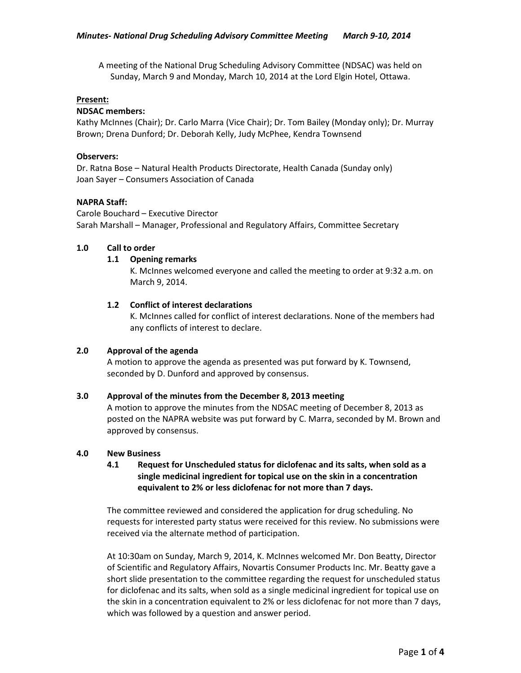A meeting of the National Drug Scheduling Advisory Committee (NDSAC) was held on Sunday, March 9 and Monday, March 10, 2014 at the Lord Elgin Hotel, Ottawa.

### **Present:**

## **NDSAC members:**

Kathy McInnes (Chair); Dr. Carlo Marra (Vice Chair); Dr. Tom Bailey (Monday only); Dr. Murray Brown; Drena Dunford; Dr. Deborah Kelly, Judy McPhee, Kendra Townsend

## **Observers:**

Dr. Ratna Bose – Natural Health Products Directorate, Health Canada (Sunday only) Joan Sayer – Consumers Association of Canada

## **NAPRA Staff:**

Carole Bouchard – Executive Director Sarah Marshall – Manager, Professional and Regulatory Affairs, Committee Secretary

## **1.0 Call to order**

## **1.1 Opening remarks**

K. McInnes welcomed everyone and called the meeting to order at 9:32 a.m. on March 9, 2014.

# **1.2 Conflict of interest declarations**

K. McInnes called for conflict of interest declarations. None of the members had any conflicts of interest to declare.

# **2.0 Approval of the agenda**

A motion to approve the agenda as presented was put forward by K. Townsend, seconded by D. Dunford and approved by consensus.

### **3.0 Approval of the minutes from the December 8, 2013 meeting**

A motion to approve the minutes from the NDSAC meeting of December 8, 2013 as posted on the NAPRA website was put forward by C. Marra, seconded by M. Brown and approved by consensus.

### **4.0 New Business**

# **4.1 Request for Unscheduled status for diclofenac and its salts, when sold as a single medicinal ingredient for topical use on the skin in a concentration equivalent to 2% or less diclofenac for not more than 7 days.**

The committee reviewed and considered the application for drug scheduling. No requests for interested party status were received for this review. No submissions were received via the alternate method of participation.

At 10:30am on Sunday, March 9, 2014, K. McInnes welcomed Mr. Don Beatty, Director of Scientific and Regulatory Affairs, Novartis Consumer Products Inc. Mr. Beatty gave a short slide presentation to the committee regarding the request for unscheduled status for diclofenac and its salts, when sold as a single medicinal ingredient for topical use on the skin in a concentration equivalent to 2% or less diclofenac for not more than 7 days, which was followed by a question and answer period.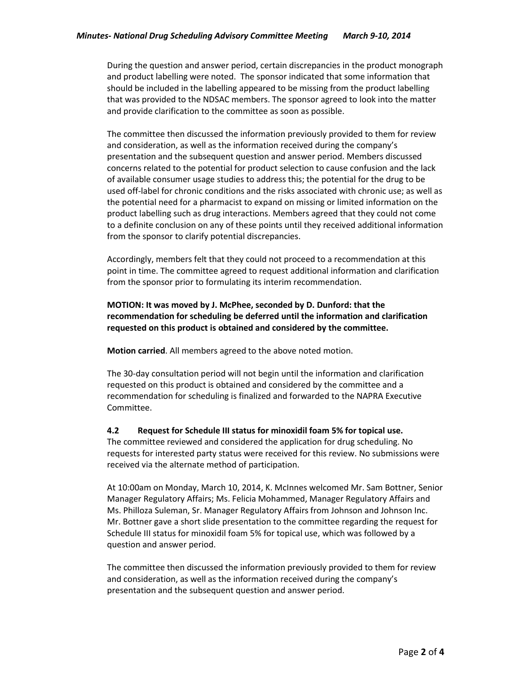During the question and answer period, certain discrepancies in the product monograph and product labelling were noted. The sponsor indicated that some information that should be included in the labelling appeared to be missing from the product labelling that was provided to the NDSAC members. The sponsor agreed to look into the matter and provide clarification to the committee as soon as possible.

The committee then discussed the information previously provided to them for review and consideration, as well as the information received during the company's presentation and the subsequent question and answer period. Members discussed concerns related to the potential for product selection to cause confusion and the lack of available consumer usage studies to address this; the potential for the drug to be used off-label for chronic conditions and the risks associated with chronic use; as well as the potential need for a pharmacist to expand on missing or limited information on the product labelling such as drug interactions. Members agreed that they could not come to a definite conclusion on any of these points until they received additional information from the sponsor to clarify potential discrepancies.

Accordingly, members felt that they could not proceed to a recommendation at this point in time. The committee agreed to request additional information and clarification from the sponsor prior to formulating its interim recommendation.

# **MOTION: It was moved by J. McPhee, seconded by D. Dunford: that the recommendation for scheduling be deferred until the information and clarification requested on this product is obtained and considered by the committee.**

**Motion carried**. All members agreed to the above noted motion.

The 30-day consultation period will not begin until the information and clarification requested on this product is obtained and considered by the committee and a recommendation for scheduling is finalized and forwarded to the NAPRA Executive Committee.

# **4.2 Request for Schedule III status for minoxidil foam 5% for topical use.**

The committee reviewed and considered the application for drug scheduling. No requests for interested party status were received for this review. No submissions were received via the alternate method of participation.

At 10:00am on Monday, March 10, 2014, K. McInnes welcomed Mr. Sam Bottner, Senior Manager Regulatory Affairs; Ms. Felicia Mohammed, Manager Regulatory Affairs and Ms. Philloza Suleman, Sr. Manager Regulatory Affairs from Johnson and Johnson Inc. Mr. Bottner gave a short slide presentation to the committee regarding the request for Schedule III status for minoxidil foam 5% for topical use, which was followed by a question and answer period.

The committee then discussed the information previously provided to them for review and consideration, as well as the information received during the company's presentation and the subsequent question and answer period.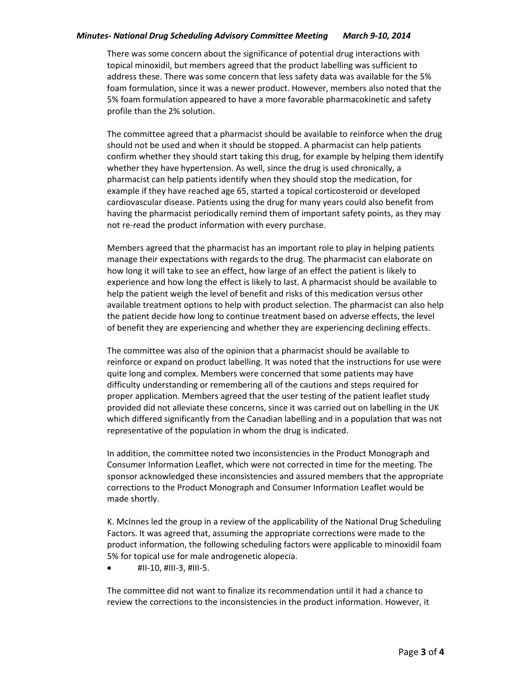## *Minutes- National Drug Scheduling Advisory Committee Meeting March 9-10, 2014*

There was some concern about the significance of potential drug interactions with topical minoxidil, but members agreed that the product labelling was sufficient to address these. There was some concern that less safety data was available for the 5% foam formulation, since it was a newer product. However, members also noted that the 5% foam formulation appeared to have a more favorable pharmacokinetic and safety profile than the 2% solution.

The committee agreed that a pharmacist should be available to reinforce when the drug should not be used and when it should be stopped. A pharmacist can help patients confirm whether they should start taking this drug, for example by helping them identify whether they have hypertension. As well, since the drug is used chronically, a pharmacist can help patients identify when they should stop the medication, for example if they have reached age 65, started a topical corticosteroid or developed cardiovascular disease. Patients using the drug for many years could also benefit from having the pharmacist periodically remind them of important safety points, as they may not re-read the product information with every purchase.

Members agreed that the pharmacist has an important role to play in helping patients manage their expectations with regards to the drug. The pharmacist can elaborate on how long it will take to see an effect, how large of an effect the patient is likely to experience and how long the effect is likely to last. A pharmacist should be available to help the patient weigh the level of benefit and risks of this medication versus other available treatment options to help with product selection. The pharmacist can also help the patient decide how long to continue treatment based on adverse effects, the level of benefit they are experiencing and whether they are experiencing declining effects.

The committee was also of the opinion that a pharmacist should be available to reinforce or expand on product labelling. It was noted that the instructions for use were quite long and complex. Members were concerned that some patients may have difficulty understanding or remembering all of the cautions and steps required for proper application. Members agreed that the user testing of the patient leaflet study provided did not alleviate these concerns, since it was carried out on labelling in the UK which differed significantly from the Canadian labelling and in a population that was not representative of the population in whom the drug is indicated.

In addition, the committee noted two inconsistencies in the Product Monograph and Consumer Information Leaflet, which were not corrected in time for the meeting. The sponsor acknowledged these inconsistencies and assured members that the appropriate corrections to the Product Monograph and Consumer Information Leaflet would be made shortly.

K. McInnes led the group in a review of the applicability of the National Drug Scheduling Factors. It was agreed that, assuming the appropriate corrections were made to the product information, the following scheduling factors were applicable to minoxidil foam 5% for topical use for male androgenetic alopecia.

 $\bullet$  #II-10, #III-3, #III-5.

The committee did not want to finalize its recommendation until it had a chance to review the corrections to the inconsistencies in the product information. However, it